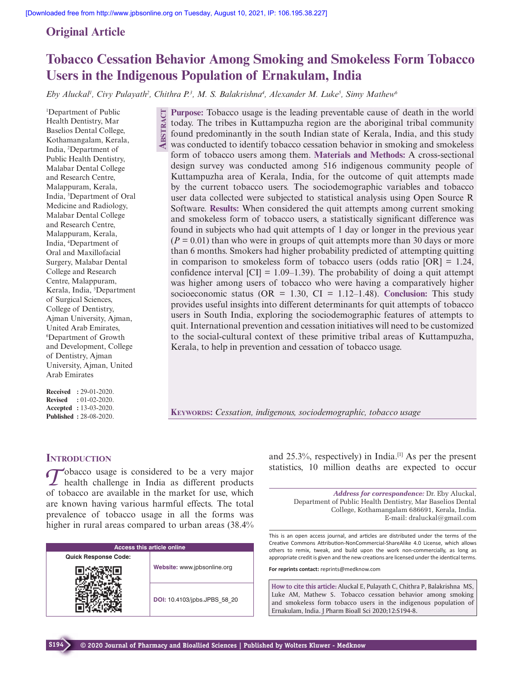# **Original Article**

# **Tobacco Cessation Behavior Among Smoking and Smokeless Form Tobacco Users in the Indigenous Population of Ernakulam, India**

*Eby Aluckal<sup>1</sup>, Civy Pulayath<sup>2</sup>, Chithra P.<sup>3</sup>, M. S. Balakrishna<sup>4</sup>, Alexander M. Luke<sup>5</sup>, Simy Mathew<sup>6</sup>* 

<sup>1</sup>Department of Public Health Dentistry, Mar Baselios Dental College, Kothamangalam, Kerala, India, <sup>2</sup>Department of Public Health Dentistry, Malabar Dental College and Research Centre, Malappuram, Kerala, India, <sup>3</sup>Department of Oral Medicine and Radiology, Malabar Dental College and Research Centre, Malappuram, Kerala, India, <sup>4</sup>Department of Oral and Maxillofacial Surgery, Malabar Dental College and Research Centre, Malappuram, Kerala, India, <sup>5</sup>Department of Surgical Sciences, College of Dentistry, Ajman University, Ajman, United Arab Emirates, <sup>6</sup>Department of Growth and Development, College of Dentistry, Ajman University, Ajman, United Arab Emirates

**Received :** 29-01-2020. **Revised :** 01-02-2020. **Accepted :** 13-03-2020. **Published :** 28-08-2020.

**Purpose:** Tobacco usage is the leading preventable cause of death in the world today. The tribes in Kuttampuzha region are the aboriginal tribal community found predominantly in the south Indian state of Kerala, India, and this study was conducted to identify tobacco cessation behavior in smoking and smokeless form of tobacco users among them. **Materials and Methods:** A cross-sectional design survey was conducted among 516 indigenous community people of Kuttampuzha area of Kerala, India, for the outcome of quit attempts made by the current tobacco users. The sociodemographic variables and tobacco user data collected were subjected to statistical analysis using Open Source R Software. **Results:** When considered the quit attempts among current smoking and smokeless form of tobacco users, a statistically significant difference was found in subjects who had quit attempts of 1 day or longer in the previous year  $(P = 0.01)$  than who were in groups of quit attempts more than 30 days or more than 6 months. Smokers had higher probability predicted of attempting quitting in comparison to smokeless form of tobacco users (odds ratio  $[OR] = 1.24$ , confidence interval  $\text{[CI]} = 1.09{\text{-}}1.39$ . The probability of doing a quit attempt was higher among users of tobacco who were having a comparatively higher socioeconomic status ( $OR = 1.30$ ,  $CI = 1.12-1.48$ ). **Conclusion:** This study provides useful insights into different determinants for quit attempts of tobacco users in South India, exploring the sociodemographic features of attempts to quit. International prevention and cessation initiatives will need to be customized to the social-cultural context of these primitive tribal areas of Kuttampuzha, Kerala, to help in prevention and cessation of tobacco usage. **ABSTRACT**

**KEYWORDS:** *Cessation, indigenous, sociodemographic, tobacco usage*

# **INTRODUCTION**

Tobacco usage is considered to be a very major<br>
Tobacco usage is considered to be a very major<br>
Thealth challenge in India as different products obacco usage is considered to be a very major of tobacco are available in the market for use, which are known having various harmful effects. The total prevalence of tobacco usage in all the forms was higher in rural areas compared to urban areas (38.4%

| <b>Access this article online</b> |                              |  |
|-----------------------------------|------------------------------|--|
| <b>Quick Response Code:</b>       |                              |  |
|                                   | Website: www.jpbsonline.org  |  |
|                                   | DOI: 10.4103/jpbs.JPBS 58 20 |  |

and  $25.3\%$ , respectively) in India.<sup>[1]</sup> As per the present statistics, 10 million deaths are expected to occur

*Address for correspondence:* Dr. Eby Aluckal, Department of Public Health Dentistry, Mar Baselios Dental College, Kothamangalam 686691, Kerala, India. E-mail: draluckal@gmail.com

This is an open access journal, and articles are distributed under the terms of the Creative Commons Attribution-NonCommercial-ShareAlike 4.0 License, which allows others to remix, tweak, and build upon the work non-commercially, as long as appropriate credit is given and the new creations are licensed under the identical terms.

**For reprints contact:** reprints@medknow.com

**How to cite this article:** Aluckal E, Pulayath C, Chithra P, Balakrishna MS, Luke AM, Mathew S. Tobacco cessation behavior among smoking and smokeless form tobacco users in the indigenous population of Ernakulam, India. J Pharm Bioall Sci 2020;12:S194-8.

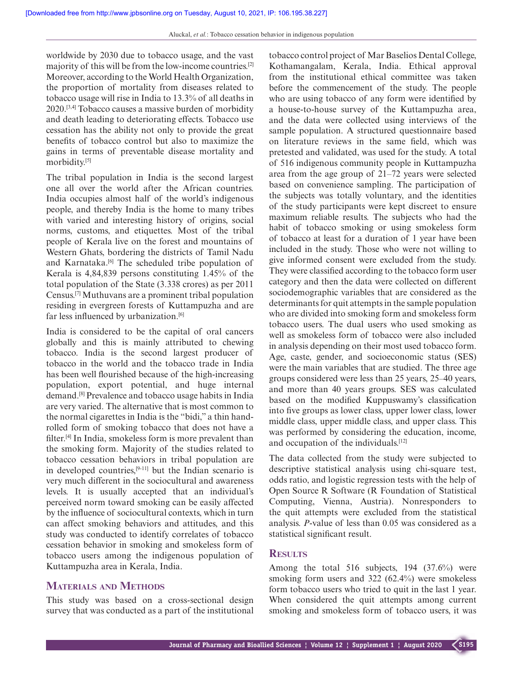worldwide by 2030 due to tobacco usage, and the vast majority of this will be from the low-income countries.[2] Moreover, according to the World Health Organization, the proportion of mortality from diseases related to tobacco usage will rise in India to 13.3% of all deaths in 2020.[3,4] Tobacco causes a massive burden of morbidity and death leading to deteriorating effects. Tobacco use cessation has the ability not only to provide the great benefits of tobacco control but also to maximize the gains in terms of preventable disease mortality and morbidity.[5]

The tribal population in India is the second largest one all over the world after the African countries. India occupies almost half of the world's indigenous people, and thereby India is the home to many tribes with varied and interesting history of origins, social norms, customs, and etiquettes. Most of the tribal people of Kerala live on the forest and mountains of Western Ghats, bordering the districts of Tamil Nadu and Karnataka.<sup>[6]</sup> The scheduled tribe population of Kerala is 4,84,839 persons constituting 1.45% of the total population of the State (3.338 crores) as per 2011 Census.[7] Muthuvans are a prominent tribal population residing in evergreen forests of Kuttampuzha and are far less influenced by urbanization.<sup>[6]</sup>

India is considered to be the capital of oral cancers globally and this is mainly attributed to chewing tobacco. India is the second largest producer of tobacco in the world and the tobacco trade in India has been well flourished because of the high-increasing population, export potential, and huge internal demand.[8] Prevalence and tobacco usage habits in India are very varied. The alternative that is most common to the normal cigarettes in India is the "bidi," a thin handrolled form of smoking tobacco that does not have a filter.[4] In India, smokeless form is more prevalent than the smoking form. Majority of the studies related to tobacco cessation behaviors in tribal population are in developed countries.<sup>[9-11]</sup> but the Indian scenario is very much different in the sociocultural and awareness levels. It is usually accepted that an individual's perceived norm toward smoking can be easily affected by the influence of sociocultural contexts, which in turn can affect smoking behaviors and attitudes, and this study was conducted to identify correlates of tobacco cessation behavior in smoking and smokeless form of tobacco users among the indigenous population of Kuttampuzha area in Kerala, India.

## **MATERIALS AND METHODS**

This study was based on a cross-sectional design survey that was conducted as a part of the institutional tobacco control project of Mar Baselios Dental College, Kothamangalam, Kerala, India. Ethical approval from the institutional ethical committee was taken before the commencement of the study. The people who are using tobacco of any form were identified by a house-to-house survey of the Kuttampuzha area, and the data were collected using interviews of the sample population. A structured questionnaire based on literature reviews in the same field, which was pretested and validated, was used for the study. A total of 516 indigenous community people in Kuttampuzha area from the age group of 21–72 years were selected based on convenience sampling. The participation of the subjects was totally voluntary, and the identities of the study participants were kept discreet to ensure maximum reliable results. The subjects who had the habit of tobacco smoking or using smokeless form of tobacco at least for a duration of 1 year have been included in the study. Those who were not willing to give informed consent were excluded from the study. They were classified according to the tobacco form user category and then the data were collected on different sociodemographic variables that are considered as the determinants for quit attempts in the sample population who are divided into smoking form and smokeless form tobacco users. The dual users who used smoking as well as smokeless form of tobacco were also included in analysis depending on their most used tobacco form. Age, caste, gender, and socioeconomic status (SES) were the main variables that are studied. The three age groups considered were less than 25 years, 25–40 years, and more than 40 years groups. SES was calculated based on the modified Kuppuswamy's classification into five groups as lower class, upper lower class, lower middle class, upper middle class, and upper class. This was performed by considering the education, income, and occupation of the individuals.[12]

The data collected from the study were subjected to descriptive statistical analysis using chi-square test, odds ratio, and logistic regression tests with the help of Open Source R Software (R Foundation of Statistical Computing, Vienna, Austria). Nonresponders to the quit attempts were excluded from the statistical analysis. *P*-value of less than 0.05 was considered as a statistical significant result.

## **RESULTS**

Among the total 516 subjects, 194 (37.6%) were smoking form users and 322 (62.4%) were smokeless form tobacco users who tried to quit in the last 1 year. When considered the quit attempts among current smoking and smokeless form of tobacco users, it was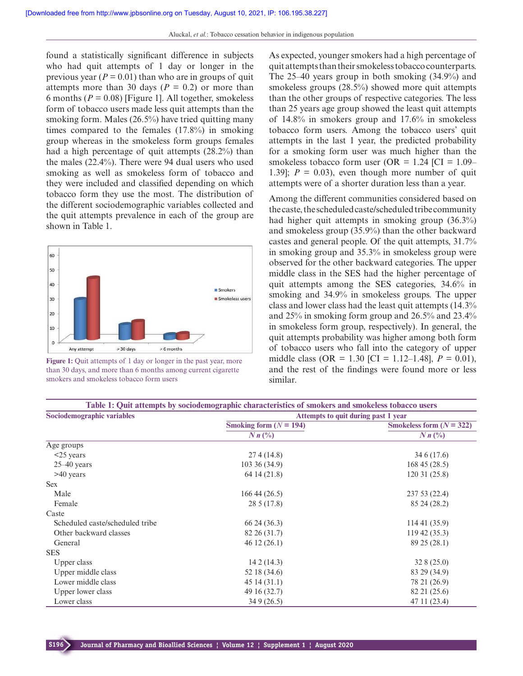found a statistically significant difference in subjects who had quit attempts of 1 day or longer in the previous year ( $P = 0.01$ ) than who are in groups of quit attempts more than 30 days ( $P = 0.2$ ) or more than 6 months ( $P = 0.08$ ) [Figure 1]. All together, smokeless form of tobacco users made less quit attempts than the smoking form. Males (26.5%) have tried quitting many times compared to the females (17.8%) in smoking group whereas in the smokeless form groups females had a high percentage of quit attempts (28.2%) than the males (22.4%). There were 94 dual users who used smoking as well as smokeless form of tobacco and they were included and classified depending on which tobacco form they use the most. The distribution of the different sociodemographic variables collected and the quit attempts prevalence in each of the group are shown in Table 1.



**Figure 1:** Quit attempts of 1 day or longer in the past year, more than 30 days, and more than 6 months among current cigarette smokers and smokeless tobacco form users

As expected, younger smokers had a high percentage of quit attempts than their smokeless tobacco counterparts. The 25–40 years group in both smoking (34.9%) and smokeless groups (28.5%) showed more quit attempts than the other groups of respective categories. The less than 25 years age group showed the least quit attempts of 14.8% in smokers group and 17.6% in smokeless tobacco form users. Among the tobacco users' quit attempts in the last 1 year, the predicted probability for a smoking form user was much higher than the smokeless tobacco form user (OR =  $1.24$  [CI =  $1.09-$ 1.39];  $P = 0.03$ , even though more number of quit attempts were of a shorter duration less than a year.

Among the different communities considered based on the caste, the scheduled caste/scheduled tribe community had higher quit attempts in smoking group (36.3%) and smokeless group (35.9%) than the other backward castes and general people. Of the quit attempts, 31.7% in smoking group and 35.3% in smokeless group were observed for the other backward categories. The upper middle class in the SES had the higher percentage of quit attempts among the SES categories, 34.6% in smoking and 34.9% in smokeless groups. The upper class and lower class had the least quit attempts (14.3% and 25% in smoking form group and 26.5% and 23.4% in smokeless form group, respectively). In general, the quit attempts probability was higher among both form of tobacco users who fall into the category of upper middle class (OR = 1.30 [CI = 1.12–1.48], *P* = 0.01), and the rest of the findings were found more or less similar.

| Table 1: Quit attempts by sociodemographic characteristics of smokers and smokeless tobacco users |                                     |                            |  |
|---------------------------------------------------------------------------------------------------|-------------------------------------|----------------------------|--|
| Sociodemographic variables                                                                        | Attempts to quit during past 1 year |                            |  |
|                                                                                                   | Smoking form $(N = 194)$            | Smokeless form $(N = 322)$ |  |
|                                                                                                   | $N n$ $\left(\frac{0}{0}\right)$    | $Nn\binom{0}{0}$           |  |
| Age groups                                                                                        |                                     |                            |  |
| $<$ 25 years                                                                                      | 274(14.8)                           | 34 6 (17.6)                |  |
| $25-40$ years                                                                                     | 10336(34.9)                         | 16845(28.5)                |  |
| >40 years                                                                                         | 64 14 (21.8)                        | 120 31 (25.8)              |  |
| <b>Sex</b>                                                                                        |                                     |                            |  |
| Male                                                                                              | 16644(26.5)                         | 237 53 (22.4)              |  |
| Female                                                                                            | 28 5 (17.8)                         | 85 24 (28.2)               |  |
| Caste                                                                                             |                                     |                            |  |
| Scheduled caste/scheduled tribe                                                                   | 66 24 (36.3)                        | 11441(35.9)                |  |
| Other backward classes                                                                            | 82 26 (31.7)                        | 11942(35.3)                |  |
| General                                                                                           | 46 12 (26.1)                        | 89 25 (28.1)               |  |
| <b>SES</b>                                                                                        |                                     |                            |  |
| Upper class                                                                                       | 142(14.3)                           | 328(25.0)                  |  |
| Upper middle class                                                                                | 52 18 (34.6)                        | 83 29 (34.9)               |  |
| Lower middle class                                                                                | 4514(31.1)                          | 78 21 (26.9)               |  |
| Upper lower class                                                                                 | 49 16 (32.7)                        | 82 21 (25.6)               |  |
| Lower class                                                                                       | 34 9 (26.5)                         | 47 11 (23.4)               |  |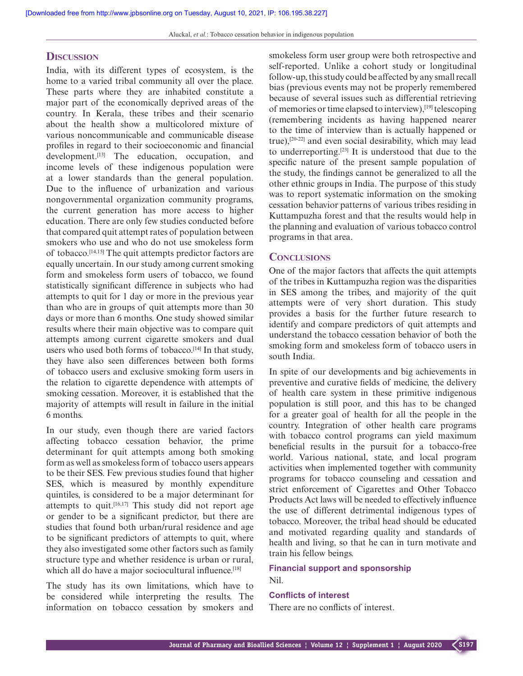## **DISCUSSION**

India, with its different types of ecosystem, is the home to a varied tribal community all over the place. These parts where they are inhabited constitute a major part of the economically deprived areas of the country. In Kerala, these tribes and their scenario about the health show a multicolored mixture of various noncommunicable and communicable disease profiles in regard to their socioeconomic and financial development.<sup>[13]</sup> The education, occupation, and income levels of these indigenous population were at a lower standards than the general population. Due to the influence of urbanization and various nongovernmental organization community programs, the current generation has more access to higher education. There are only few studies conducted before that compared quit attempt rates of population between smokers who use and who do not use smokeless form of tobacco.[14,15] The quit attempts predictor factors are equally uncertain. In our study among current smoking form and smokeless form users of tobacco, we found statistically significant difference in subjects who had attempts to quit for 1 day or more in the previous year than who are in groups of quit attempts more than 30 days or more than 6 months. One study showed similar results where their main objective was to compare quit attempts among current cigarette smokers and dual users who used both forms of tobacco.<sup>[14]</sup> In that study, they have also seen differences between both forms of tobacco users and exclusive smoking form users in the relation to cigarette dependence with attempts of smoking cessation. Moreover, it is established that the majority of attempts will result in failure in the initial 6 months.

In our study, even though there are varied factors affecting tobacco cessation behavior, the prime determinant for quit attempts among both smoking form as well as smokeless form of tobacco users appears to be their SES. Few previous studies found that higher SES, which is measured by monthly expenditure quintiles, is considered to be a major determinant for attempts to quit.[16,17] This study did not report age or gender to be a significant predictor, but there are studies that found both urban/rural residence and age to be significant predictors of attempts to quit, where they also investigated some other factors such as family structure type and whether residence is urban or rural, which all do have a major sociocultural influence.<sup>[18]</sup>

The study has its own limitations, which have to be considered while interpreting the results. The information on tobacco cessation by smokers and smokeless form user group were both retrospective and self-reported. Unlike a cohort study or longitudinal follow-up, this study could be affected by any small recall bias (previous events may not be properly remembered because of several issues such as differential retrieving of memories or time elapsed to interview),[19] telescoping (remembering incidents as having happened nearer to the time of interview than is actually happened or true),[20-22] and even social desirability, which may lead to underreporting.[23] It is understood that due to the specific nature of the present sample population of the study, the findings cannot be generalized to all the other ethnic groups in India. The purpose of this study was to report systematic information on the smoking cessation behavior patterns of various tribes residing in Kuttampuzha forest and that the results would help in the planning and evaluation of various tobacco control programs in that area.

#### **CONCLUSIONS**

One of the major factors that affects the quit attempts of the tribes in Kuttampuzha region was the disparities in SES among the tribes, and majority of the quit attempts were of very short duration. This study provides a basis for the further future research to identify and compare predictors of quit attempts and understand the tobacco cessation behavior of both the smoking form and smokeless form of tobacco users in south India.

In spite of our developments and big achievements in preventive and curative fields of medicine, the delivery of health care system in these primitive indigenous population is still poor, and this has to be changed for a greater goal of health for all the people in the country. Integration of other health care programs with tobacco control programs can yield maximum beneficial results in the pursuit for a tobacco-free world. Various national, state, and local program activities when implemented together with community programs for tobacco counseling and cessation and strict enforcement of Cigarettes and Other Tobacco Products Act laws will be needed to effectively influence the use of different detrimental indigenous types of tobacco. Moreover, the tribal head should be educated and motivated regarding quality and standards of health and living, so that he can in turn motivate and train his fellow beings.

#### **Financial support and sponsorship** Nil.

#### **Conflicts of interest**

There are no conflicts of interest.